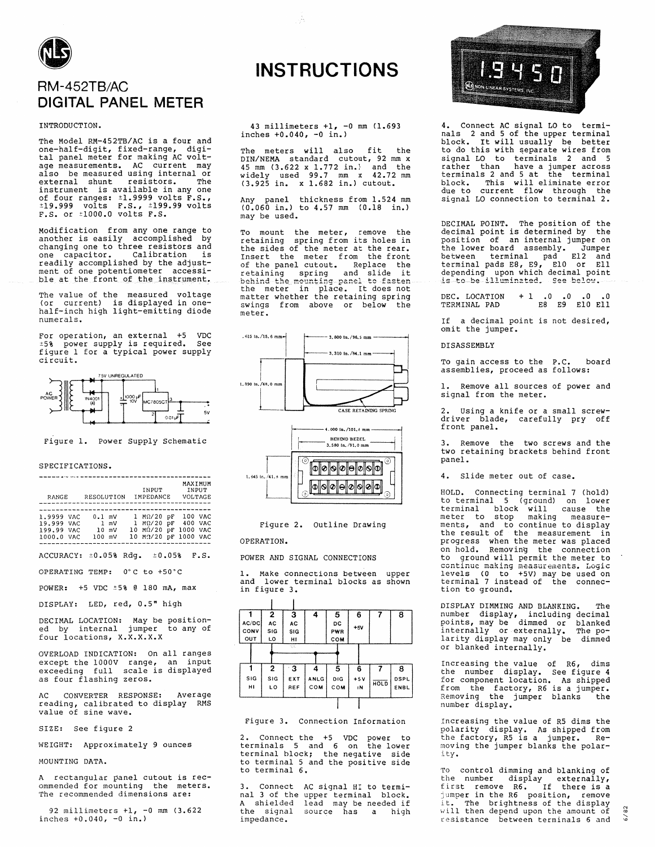

# RM-452TB/AC **DIGITAL PANEL METER**

INTRODUCTION.

The Model RM-452TB/AC is a four and one-half-digit, fixed-range, digi-<br>tal panel meter for making AC voltdar parameter for maxing activities are measurements. AC current may<br>also be measured using internal or<br>external shunt resistors. The<br>instrument is available in any one of four ranges: 11.9999 volts F.S.,<br>t19.999 volts F.S.,<br>t19.999 volts F.S., t199.99 volts<br>F.S. or  $\pm 1000.0$  volts F.S.

Modification from any one range to another is easily accomplished by<br>changing one to three resistors and one capacitor. Calibration is<br>readily accomplished by the adjust-<br>ment of one potentiometer accessible at the front of the instrument.

The value of the measured voltage<br>(or current) is displayed in one-<br>half-inch high light-emitting diode numerals.

For operation, an external +5 VDC<br>  $\pm 5$  power supply is required. See figure 1 for a typical power supply circuit.



Figure 1. Power Supply Schematic

## SPECIFICATIONS.

| RANGE                          | RESOLUTION |                 | INPUT<br>IMPEDANCE   | MAXIMUM<br>VOLTAGE | INPUT |
|--------------------------------|------------|-----------------|----------------------|--------------------|-------|
|                                |            |                 |                      |                    |       |
|                                |            |                 |                      |                    |       |
|                                |            |                 |                      |                    |       |
| 1.9999 VAC                     | $0.1$ mV   |                 | $1$ M $\Omega/20$ pF | 100 VAC            |       |
| 19.999 VAC                     | l mV       |                 | $1$ M $\Omega/20$ pF | 400 VAC            |       |
| 199.99 VAC                     |            | $10 \text{ mV}$ | $10$ $M\Omega/20$ pF | 1000 VAC           |       |
| 1000.0 VAC                     | $100$ mV   |                 | 10 M2/20 pF 1000 VAC |                    |       |
|                                |            |                 |                      |                    |       |
| $ACCIIRACY: \pm 0.058$ $Rda$ . |            |                 | ±0.05%               |                    | F.S.  |

OPERATING TEMP: 0°C to +50°C

POWER: +5 VDC ±5% @ 180 mA, max

DISPLAY: LED, red, 0.5" high

DECIMAL LOCATION: May be position-<br>ed by internal jumper to any of four locations, X.X.X.X.X

OVERLOAD INDICATION: On all ranges except the 1000V range, an input<br>exceeding full scale is displayed as four flashing zeros.

CONVERTER RESPONSE: Average AC. reading, calibrated to display RMS<br>value of sine wave.

SIZE: See figure 2

WEIGHT: Approximately 9 ounces

MOUNTING DATA.

A rectangular panel cutout is recommended for mounting the meters.<br>The recommended dimensions are:

92 millimeters +1, -0 mm (3.622 inches  $+0.040, -0 in.$ )

# **INSTRUCTIONS**

43 millimeters  $+1$ ,  $-0$  mm  $(1.693)$ inches  $+0.040$ ,  $-0$  in.)

The meters will also fit the<br>DIN/NEMA standard cutout, 92 mm x<br>45 mm  $(3.622 \times 1.772 \text{ in.})$  and the<br>widely used 99.7 mm x 42.72 mm<br> $(3.925 \text{ in.} \times 1.682 \text{ in.})$  cutout.

Any panel thickness from 1.524 mm<br>(0.060 in.) to 4.57 mm (0.18 in.) may be used.

To mount the meter, remove the<br>retaining spring from its holes in<br>the sides of the meter at the rear. Insert the meter from the front insert the method of the panel cutout. Replace the<br>retaining spring and slide it<br>behind-the mounting-panel to-fasten<br>the meter in place. It does not<br>matter whether the retaining spring swings from above or below the meter.





Figure 2. Outline Drawing

OPERATION.

 $\sim$ 

POWER AND SIGNAL CONNECTIONS

1. Make connections between upper<br>and lower terminal black lower terminal blocks as shown in figure 3.

|            | 2   | 3                                          | 4          | 5   | 6     |      | 8    |
|------------|-----|--------------------------------------------|------------|-----|-------|------|------|
| AC/DC      | AC  | AC                                         |            | DC  | $+5V$ |      |      |
| CONV       | SIG | SIG                                        |            | PWR |       |      |      |
| OUT        | LO  | н                                          |            | COM |       |      |      |
|            |     | $\mathcal{L}_{\mathbb{R}}^{\mathbb{Z}}$ ). |            |     |       |      |      |
|            |     |                                            |            |     |       |      |      |
|            | 2   | -3                                         | 4          | 5   | 6     |      | 8    |
| <b>SIG</b> | SIG | EXT                                        | ANLG       | DIG | $+5V$ | HOLD | DSPL |
| н١         | LO  | REF                                        | <b>COM</b> | COM | ١N    |      | ENBL |
|            |     |                                            |            |     |       |      |      |
|            |     |                                            |            |     |       |      |      |

Figure 3. Connection Information

2. Connect the +5 VDC power to<br>terminals 5 and 6 on the lower<br>terminal block; the negative side to terminal 5 and the positive side to terminal 6.

 $\mathbf{R}$ Connect AC signal HI to terminal 3 of the upper terminal block. A shielded lead may be needed if<br>the signal source has a high impedance.



4. Connect AC signal LO to termi-<br>nals 2 and 5 of the upper terminal<br>block. It will usually be better nais 2 and 5 or the upper terminal<br>block. It will usually be better<br>to do this with separate wires from<br>signal LO to terminals 2 and 5<br>rather than have a jumper across<br>terminals 2 and 5 at the terminal block. This will eliminate error<br>due to current flow through the signal LO connection to terminal 2.

DECIMAL POINT. The position of the decimal point is determined by the position of an internal jumper on between board assembly. Jumper<br>between terminal pad El2 and<br>terminal pads E8, E9, E10 or E11<br>depending upon which decimal point<br>is to be illuminated. See below.

DEC. LOCATION + 1  $\begin{array}{cccc} .0 & .0 & .0 & .0 \\ \text{E8} & \text{E9} & \text{E10 E11} \end{array}$ TERMINAL PAD

If a decimal point is not desired, omit the jumper.

#### **DISASSEMBLY**

To gain access to the P.C. board assemblies, proceed as follows:

1. Remove all sources of power and signal from the meter.

2. Using a knife or a small screw-<br>driver blade, carefully pry off front panel.

3. Remove the two screws and the two retaining brackets behind front panel.

4. Slide meter out of case.

HOLD. Connecting terminal 7 (hold) to terminal 5 (ground) on lower<br>terminal 5 (ground) on lower<br>terminal block will cause the<br>meter to stop making measure-<br>ments, and to continue to display<br>the result of the measurement in progress when the meter was placed on hold. Removing the connection to ground will permit the meter to continue making measurements. Logic<br>levels (0 to +5V) may be used on<br>terminal 7 instead of the connection to ground.

DISPLAY DIMMING AND BLANKING. The number display, including decimal<br>points, may be dimmed or blanked<br>internally or externally. The po-<br>larity display may only be dimmed or blanked internally.

Increasing the value of R6, dims the number display. See figure 4 for component location. As shipped<br>from the factory, R6 is a jumper.<br>Removing the jumper blanks the number display.

Increasing the value of R5 dims the polarity display. As shipped from<br>the factory, R5 is a jumper. Re-<br>moving the jumper blanks the polarity.

To control dimming and blanking of<br>the number display externally,<br>first remove R6. If there is a<br>jumper in the R6 position, remove<br>it. The brightness of the display<br>will then depend upon the amount of<br>will then depend upon resistance between terminals 6 and